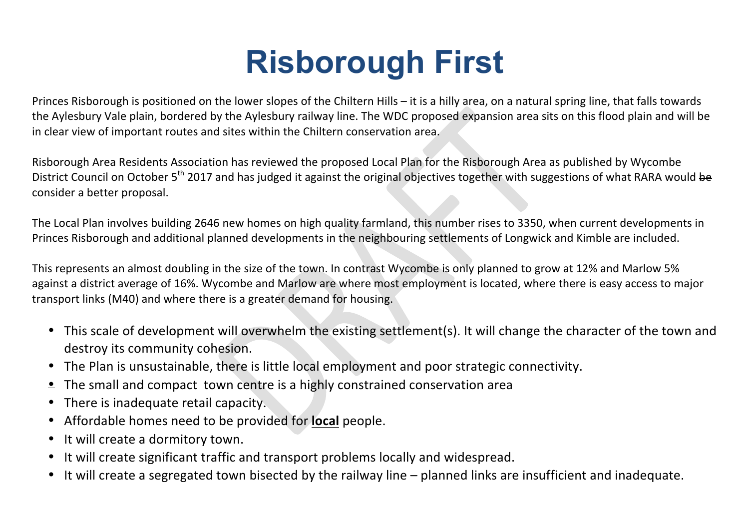## **Risborough First**

Princes Risborough is positioned on the lower slopes of the Chiltern Hills – it is a hilly area, on a natural spring line, that falls towards the Aylesbury Vale plain, bordered by the Aylesbury railway line. The WDC proposed expansion area sits on this flood plain and will be in clear view of important routes and sites within the Chiltern conservation area.

Risborough Area Residents Association has reviewed the proposed Local Plan for the Risborough Area as published by Wycombe District Council on October 5<sup>th</sup> 2017 and has judged it against the original objectives together with suggestions of what RARA would be consider a better proposal.

The Local Plan involves building 2646 new homes on high quality farmland, this number rises to 3350, when current developments in Princes Risborough and additional planned developments in the neighbouring settlements of Longwick and Kimble are included.

This represents an almost doubling in the size of the town. In contrast Wycombe is only planned to grow at 12% and Marlow 5% against a district average of 16%. Wycombe and Marlow are where most employment is located, where there is easy access to major transport links (M40) and where there is a greater demand for housing.

- This scale of development will overwhelm the existing settlement(s). It will change the character of the town and destroy its community cohesion.
- The Plan is unsustainable, there is little local employment and poor strategic connectivity.
- $\bullet$  The small and compact town centre is a highly constrained conservation area
- There is inadequate retail capacity.
- Affordable homes need to be provided for **local** people.
- It will create a dormitory town.
- It will create significant traffic and transport problems locally and widespread.
- It will create a segregated town bisected by the railway line planned links are insufficient and inadequate.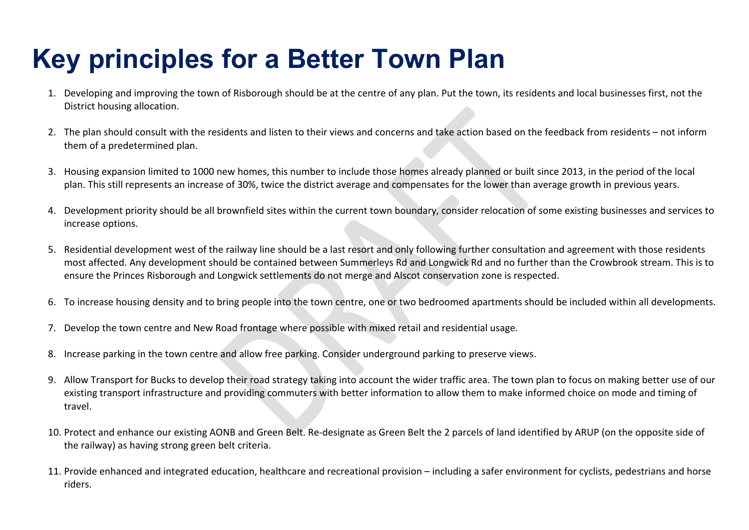## **Key principles for a Better Town Plan**

- 1. Developing and improving the town of Risborough should be at the centre of any plan. Put the town, its residents and local businesses first, not the District housing allocation.
- 2. The plan should consult with the residents and listen to their views and concerns and take action based on the feedback from residents not inform them of a predetermined plan.
- 3. Housing expansion limited to 1000 new homes, this number to include those homes already planned or built since 2013, in the period of the local plan. This still represents an increase of 30%, twice the district average and compensates for the lower than average growth in previous years.
- 4. Development priority should be all brownfield sites within the current town boundary, consider relocation of some existing businesses and services to increase options.
- 5. Residential development west of the railway line should be a last resort and only following further consultation and agreement with those residents most affected. Any development should be contained between Summerleys Rd and Longwick Rd and no further than the Crowbrook stream. This is to ensure the Princes Risborough and Longwick settlements do not merge and Alscot conservation zone is respected.
- 6. To increase housing density and to bring people into the town centre, one or two bedroomed apartments should be included within all developments.
- 7. Develop the town centre and New Road frontage where possible with mixed retail and residential usage.
- 8. Increase parking in the town centre and allow free parking. Consider underground parking to preserve views.
- 9. Allow Transport for Bucks to develop their road strategy taking into account the wider traffic area. The town plan to focus on making better use of our existing transport infrastructure and providing commuters with better information to allow them to make informed choice on mode and timing of travel.
- 10. Protect and enhance our existing AONB and Green Belt. Re-designate as Green Belt the 2 parcels of land identified by ARUP (on the opposite side of the railway) as having strong green belt criteria.
- 11. Provide enhanced and integrated education, healthcare and recreational provision including a safer environment for cyclists, pedestrians and horse riders.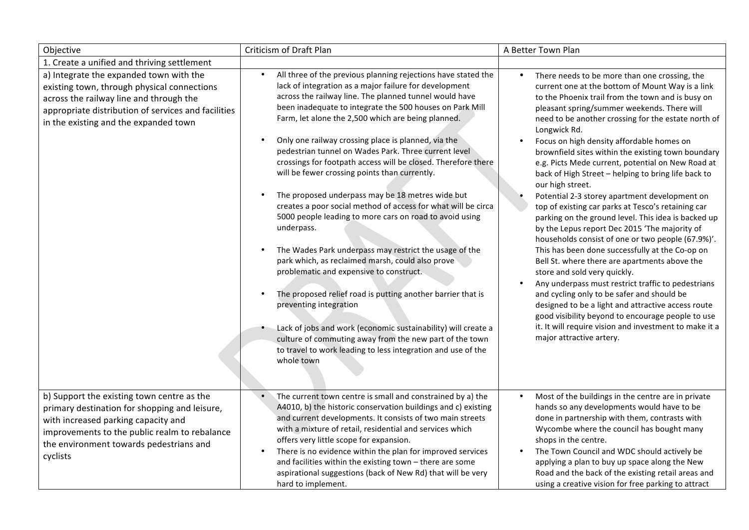| Objective                                                                                                                                                                                                                                  | Criticism of Draft Plan                                                                                                                                                                                                                                                                                                                                                                                                                                                                                                                                                                                                                                                                                                                                                                                                                                                                                                                                                                                                                                                                                                                                                                                                  | A Better Town Plan                                                                                                                                                                                                                                                                                                                                                                                                                                                                                                                                                                                                                                                                                                                                                                                                                                                                                                                                                                                                                                                                                                                                                                                                                                     |
|--------------------------------------------------------------------------------------------------------------------------------------------------------------------------------------------------------------------------------------------|--------------------------------------------------------------------------------------------------------------------------------------------------------------------------------------------------------------------------------------------------------------------------------------------------------------------------------------------------------------------------------------------------------------------------------------------------------------------------------------------------------------------------------------------------------------------------------------------------------------------------------------------------------------------------------------------------------------------------------------------------------------------------------------------------------------------------------------------------------------------------------------------------------------------------------------------------------------------------------------------------------------------------------------------------------------------------------------------------------------------------------------------------------------------------------------------------------------------------|--------------------------------------------------------------------------------------------------------------------------------------------------------------------------------------------------------------------------------------------------------------------------------------------------------------------------------------------------------------------------------------------------------------------------------------------------------------------------------------------------------------------------------------------------------------------------------------------------------------------------------------------------------------------------------------------------------------------------------------------------------------------------------------------------------------------------------------------------------------------------------------------------------------------------------------------------------------------------------------------------------------------------------------------------------------------------------------------------------------------------------------------------------------------------------------------------------------------------------------------------------|
| 1. Create a unified and thriving settlement                                                                                                                                                                                                |                                                                                                                                                                                                                                                                                                                                                                                                                                                                                                                                                                                                                                                                                                                                                                                                                                                                                                                                                                                                                                                                                                                                                                                                                          |                                                                                                                                                                                                                                                                                                                                                                                                                                                                                                                                                                                                                                                                                                                                                                                                                                                                                                                                                                                                                                                                                                                                                                                                                                                        |
| a) Integrate the expanded town with the<br>existing town, through physical connections<br>across the railway line and through the<br>appropriate distribution of services and facilities<br>in the existing and the expanded town          | All three of the previous planning rejections have stated the<br>$\bullet$<br>lack of integration as a major failure for development<br>across the railway line. The planned tunnel would have<br>been inadequate to integrate the 500 houses on Park Mill<br>Farm, let alone the 2,500 which are being planned.<br>Only one railway crossing place is planned, via the<br>$\bullet$<br>pedestrian tunnel on Wades Park. Three current level<br>crossings for footpath access will be closed. Therefore there<br>will be fewer crossing points than currently.<br>The proposed underpass may be 18 metres wide but<br>creates a poor social method of access for what will be circa<br>5000 people leading to more cars on road to avoid using<br>underpass.<br>The Wades Park underpass may restrict the usage of the<br>park which, as reclaimed marsh, could also prove<br>problematic and expensive to construct.<br>The proposed relief road is putting another barrier that is<br>preventing integration<br>Lack of jobs and work (economic sustainability) will create a<br>culture of commuting away from the new part of the town<br>to travel to work leading to less integration and use of the<br>whole town | There needs to be more than one crossing, the<br>$\bullet$<br>current one at the bottom of Mount Way is a link<br>to the Phoenix trail from the town and is busy on<br>pleasant spring/summer weekends. There will<br>need to be another crossing for the estate north of<br>Longwick Rd.<br>Focus on high density affordable homes on<br>brownfield sites within the existing town boundary<br>e.g. Picts Mede current, potential on New Road at<br>back of High Street - helping to bring life back to<br>our high street.<br>Potential 2-3 storey apartment development on<br>top of existing car parks at Tesco's retaining car<br>parking on the ground level. This idea is backed up<br>by the Lepus report Dec 2015 'The majority of<br>households consist of one or two people (67.9%)'.<br>This has been done successfully at the Co-op on<br>Bell St. where there are apartments above the<br>store and sold very quickly.<br>Any underpass must restrict traffic to pedestrians<br>$\bullet$<br>and cycling only to be safer and should be<br>designed to be a light and attractive access route<br>good visibility beyond to encourage people to use<br>it. It will require vision and investment to make it a<br>major attractive artery. |
| b) Support the existing town centre as the<br>primary destination for shopping and leisure,<br>with increased parking capacity and<br>improvements to the public realm to rebalance<br>the environment towards pedestrians and<br>cyclists | The current town centre is small and constrained by a) the<br>A4010, b) the historic conservation buildings and c) existing<br>and current developments. It consists of two main streets<br>with a mixture of retail, residential and services which<br>offers very little scope for expansion.<br>There is no evidence within the plan for improved services<br>$\bullet$<br>and facilities within the existing town - there are some<br>aspirational suggestions (back of New Rd) that will be very<br>hard to implement.                                                                                                                                                                                                                                                                                                                                                                                                                                                                                                                                                                                                                                                                                              | Most of the buildings in the centre are in private<br>$\bullet$<br>hands so any developments would have to be<br>done in partnership with them, contrasts with<br>Wycombe where the council has bought many<br>shops in the centre.<br>The Town Council and WDC should actively be<br>$\bullet$<br>applying a plan to buy up space along the New<br>Road and the back of the existing retail areas and<br>using a creative vision for free parking to attract                                                                                                                                                                                                                                                                                                                                                                                                                                                                                                                                                                                                                                                                                                                                                                                          |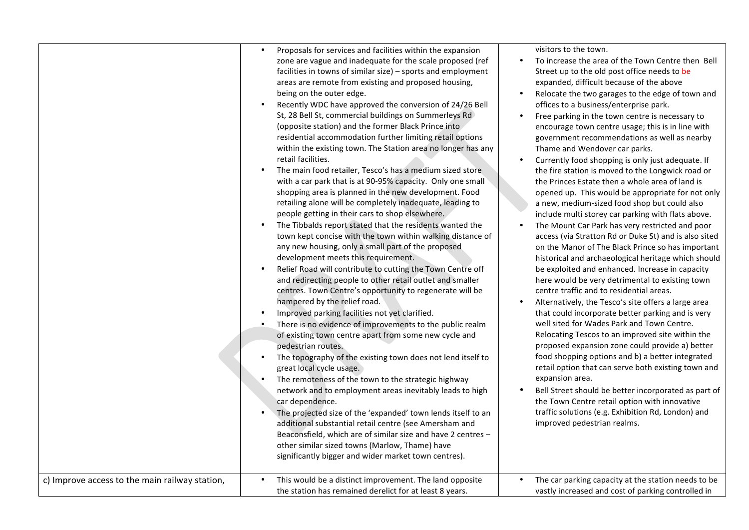| c) Improve access to the main railway station, | Proposals for services and facilities within the expansion<br>zone are vague and inadequate for the scale proposed (ref<br>facilities in towns of similar size) - sports and employment<br>areas are remote from existing and proposed housing,<br>being on the outer edge.<br>Recently WDC have approved the conversion of 24/26 Bell<br>St, 28 Bell St, commercial buildings on Summerleys Rd<br>(opposite station) and the former Black Prince into<br>residential accommodation further limiting retail options<br>within the existing town. The Station area no longer has any<br>retail facilities.<br>The main food retailer, Tesco's has a medium sized store<br>$\bullet$<br>with a car park that is at 90-95% capacity. Only one small<br>shopping area is planned in the new development. Food<br>retailing alone will be completely inadequate, leading to<br>people getting in their cars to shop elsewhere.<br>The Tibbalds report stated that the residents wanted the<br>$\bullet$<br>town kept concise with the town within walking distance of<br>any new housing, only a small part of the proposed<br>development meets this requirement.<br>Relief Road will contribute to cutting the Town Centre off<br>and redirecting people to other retail outlet and smaller<br>centres. Town Centre's opportunity to regenerate will be<br>hampered by the relief road.<br>Improved parking facilities not yet clarified.<br>There is no evidence of improvements to the public realm<br>of existing town centre apart from some new cycle and<br>pedestrian routes.<br>The topography of the existing town does not lend itself to<br>great local cycle usage.<br>The remoteness of the town to the strategic highway<br>network and to employment areas inevitably leads to high<br>car dependence.<br>The projected size of the 'expanded' town lends itself to an<br>additional substantial retail centre (see Amersham and<br>Beaconsfield, which are of similar size and have 2 centres -<br>other similar sized towns (Marlow, Thame) have<br>significantly bigger and wider market town centres). | visitors to the town.<br>To increase the area of the Town Centre then Bell<br>$\bullet$<br>Street up to the old post office needs to be<br>expanded, difficult because of the above<br>Relocate the two garages to the edge of town and<br>$\bullet$<br>offices to a business/enterprise park.<br>Free parking in the town centre is necessary to<br>$\bullet$<br>encourage town centre usage; this is in line with<br>government recommendations as well as nearby<br>Thame and Wendover car parks.<br>Currently food shopping is only just adequate. If<br>$\bullet$<br>the fire station is moved to the Longwick road or<br>the Princes Estate then a whole area of land is<br>opened up. This would be appropriate for not only<br>a new, medium-sized food shop but could also<br>include multi storey car parking with flats above.<br>The Mount Car Park has very restricted and poor<br>$\bullet$<br>access (via Stratton Rd or Duke St) and is also sited<br>on the Manor of The Black Prince so has important<br>historical and archaeological heritage which should<br>be exploited and enhanced. Increase in capacity<br>here would be very detrimental to existing town<br>centre traffic and to residential areas.<br>Alternatively, the Tesco's site offers a large area<br>$\bullet$<br>that could incorporate better parking and is very<br>well sited for Wades Park and Town Centre.<br>Relocating Tescos to an improved site within the<br>proposed expansion zone could provide a) better<br>food shopping options and b) a better integrated<br>retail option that can serve both existing town and<br>expansion area.<br>Bell Street should be better incorporated as part of<br>the Town Centre retail option with innovative<br>traffic solutions (e.g. Exhibition Rd, London) and<br>improved pedestrian realms.<br>٠ |
|------------------------------------------------|------------------------------------------------------------------------------------------------------------------------------------------------------------------------------------------------------------------------------------------------------------------------------------------------------------------------------------------------------------------------------------------------------------------------------------------------------------------------------------------------------------------------------------------------------------------------------------------------------------------------------------------------------------------------------------------------------------------------------------------------------------------------------------------------------------------------------------------------------------------------------------------------------------------------------------------------------------------------------------------------------------------------------------------------------------------------------------------------------------------------------------------------------------------------------------------------------------------------------------------------------------------------------------------------------------------------------------------------------------------------------------------------------------------------------------------------------------------------------------------------------------------------------------------------------------------------------------------------------------------------------------------------------------------------------------------------------------------------------------------------------------------------------------------------------------------------------------------------------------------------------------------------------------------------------------------------------------------------------------------------------------------------------------------------------------------------------------------------------------------------|-------------------------------------------------------------------------------------------------------------------------------------------------------------------------------------------------------------------------------------------------------------------------------------------------------------------------------------------------------------------------------------------------------------------------------------------------------------------------------------------------------------------------------------------------------------------------------------------------------------------------------------------------------------------------------------------------------------------------------------------------------------------------------------------------------------------------------------------------------------------------------------------------------------------------------------------------------------------------------------------------------------------------------------------------------------------------------------------------------------------------------------------------------------------------------------------------------------------------------------------------------------------------------------------------------------------------------------------------------------------------------------------------------------------------------------------------------------------------------------------------------------------------------------------------------------------------------------------------------------------------------------------------------------------------------------------------------------------------------------------------------------------------------------------------------------------------------------------------|
|                                                | This would be a distinct improvement. The land opposite<br>the station has remained derelict for at least 8 years.                                                                                                                                                                                                                                                                                                                                                                                                                                                                                                                                                                                                                                                                                                                                                                                                                                                                                                                                                                                                                                                                                                                                                                                                                                                                                                                                                                                                                                                                                                                                                                                                                                                                                                                                                                                                                                                                                                                                                                                                     | The car parking capacity at the station needs to be<br>vastly increased and cost of parking controlled in                                                                                                                                                                                                                                                                                                                                                                                                                                                                                                                                                                                                                                                                                                                                                                                                                                                                                                                                                                                                                                                                                                                                                                                                                                                                                                                                                                                                                                                                                                                                                                                                                                                                                                                                       |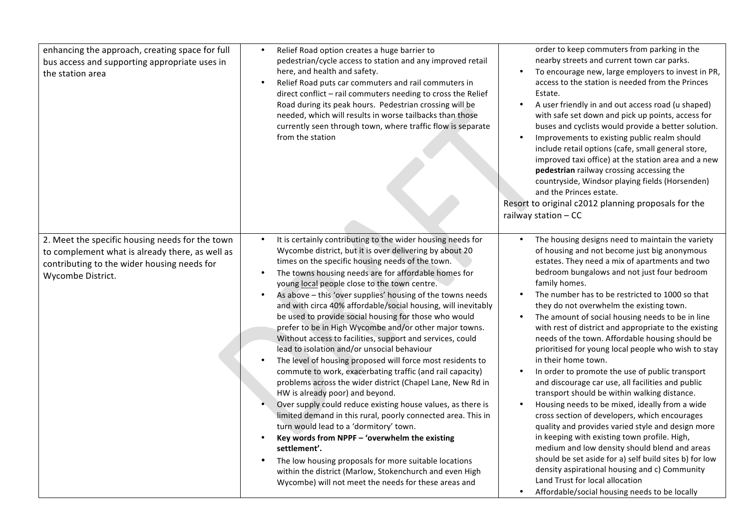| enhancing the approach, creating space for full<br>bus access and supporting appropriate uses in<br>the station area                                                   | Relief Road option creates a huge barrier to<br>pedestrian/cycle access to station and any improved retail<br>here, and health and safety.<br>Relief Road puts car commuters and rail commuters in<br>$\bullet$<br>direct conflict - rail commuters needing to cross the Relief<br>Road during its peak hours. Pedestrian crossing will be<br>needed, which will results in worse tailbacks than those<br>currently seen through town, where traffic flow is separate<br>from the station                                                                                                                                                                                                                                                                                                                                                                                                                                                                                                                                                                                                                                                                                                                                                                                                                                                              | order to keep commuters from parking in the<br>nearby streets and current town car parks.<br>To encourage new, large employers to invest in PR,<br>access to the station is needed from the Princes<br>Estate.<br>A user friendly in and out access road (u shaped)<br>with safe set down and pick up points, access for<br>buses and cyclists would provide a better solution.<br>Improvements to existing public realm should<br>$\bullet$<br>include retail options (cafe, small general store,<br>improved taxi office) at the station area and a new<br>pedestrian railway crossing accessing the<br>countryside, Windsor playing fields (Horsenden)<br>and the Princes estate.<br>Resort to original c2012 planning proposals for the<br>railway station - CC                                                                                                                                                                                                                                                                                                                                                                                                                          |
|------------------------------------------------------------------------------------------------------------------------------------------------------------------------|--------------------------------------------------------------------------------------------------------------------------------------------------------------------------------------------------------------------------------------------------------------------------------------------------------------------------------------------------------------------------------------------------------------------------------------------------------------------------------------------------------------------------------------------------------------------------------------------------------------------------------------------------------------------------------------------------------------------------------------------------------------------------------------------------------------------------------------------------------------------------------------------------------------------------------------------------------------------------------------------------------------------------------------------------------------------------------------------------------------------------------------------------------------------------------------------------------------------------------------------------------------------------------------------------------------------------------------------------------|----------------------------------------------------------------------------------------------------------------------------------------------------------------------------------------------------------------------------------------------------------------------------------------------------------------------------------------------------------------------------------------------------------------------------------------------------------------------------------------------------------------------------------------------------------------------------------------------------------------------------------------------------------------------------------------------------------------------------------------------------------------------------------------------------------------------------------------------------------------------------------------------------------------------------------------------------------------------------------------------------------------------------------------------------------------------------------------------------------------------------------------------------------------------------------------------|
| 2. Meet the specific housing needs for the town<br>to complement what is already there, as well as<br>contributing to the wider housing needs for<br>Wycombe District. | It is certainly contributing to the wider housing needs for<br>$\bullet$<br>Wycombe district, but it is over delivering by about 20<br>times on the specific housing needs of the town.<br>The towns housing needs are for affordable homes for<br>$\bullet$<br>young local people close to the town centre.<br>As above - this 'over supplies' housing of the towns needs<br>$\bullet$<br>and with circa 40% affordable/social housing, will inevitably<br>be used to provide social housing for those who would<br>prefer to be in High Wycombe and/or other major towns.<br>Without access to facilities, support and services, could<br>lead to isolation and/or unsocial behaviour<br>The level of housing proposed will force most residents to<br>commute to work, exacerbating traffic (and rail capacity)<br>problems across the wider district (Chapel Lane, New Rd in<br>HW is already poor) and beyond.<br>Over supply could reduce existing house values, as there is<br>limited demand in this rural, poorly connected area. This in<br>turn would lead to a 'dormitory' town.<br>Key words from NPPF - 'overwhelm the existing<br>settlement'.<br>The low housing proposals for more suitable locations<br>$\bullet$<br>within the district (Marlow, Stokenchurch and even High<br>Wycombe) will not meet the needs for these areas and | The housing designs need to maintain the variety<br>of housing and not become just big anonymous<br>estates. They need a mix of apartments and two<br>bedroom bungalows and not just four bedroom<br>family homes.<br>The number has to be restricted to 1000 so that<br>they do not overwhelm the existing town.<br>The amount of social housing needs to be in line<br>$\bullet$<br>with rest of district and appropriate to the existing<br>needs of the town. Affordable housing should be<br>prioritised for young local people who wish to stay<br>in their home town.<br>In order to promote the use of public transport<br>and discourage car use, all facilities and public<br>transport should be within walking distance.<br>Housing needs to be mixed, ideally from a wide<br>cross section of developers, which encourages<br>quality and provides varied style and design more<br>in keeping with existing town profile. High,<br>medium and low density should blend and areas<br>should be set aside for a) self build sites b) for low<br>density aspirational housing and c) Community<br>Land Trust for local allocation<br>Affordable/social housing needs to be locally |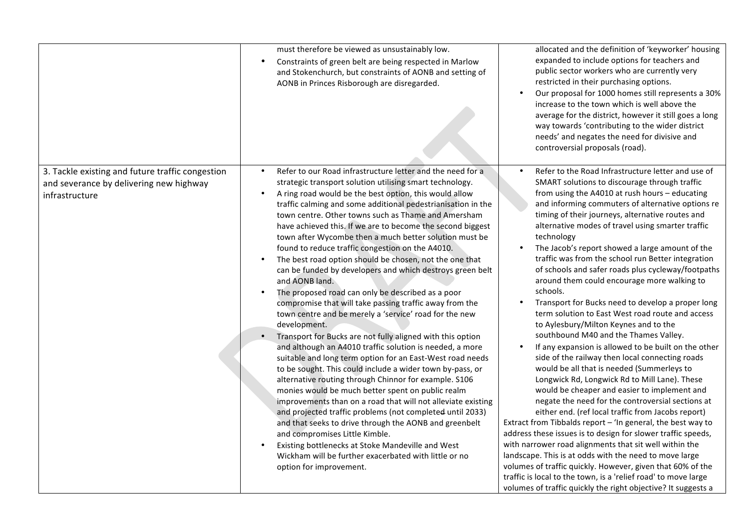|                                                                                                               | must therefore be viewed as unsustainably low.<br>Constraints of green belt are being respected in Marlow<br>$\bullet$<br>and Stokenchurch, but constraints of AONB and setting of<br>AONB in Princes Risborough are disregarded.                                                                                                                                                                                                                                                                                                                                                                                                                                                                                                                                                                                                                                                                                                                                                                                                                                                                                                                                                                                                                                                                                                                                                                                                                                                                                                                                                                               | allocated and the definition of 'keyworker' housing<br>expanded to include options for teachers and<br>public sector workers who are currently very<br>restricted in their purchasing options.<br>Our proposal for 1000 homes still represents a 30%<br>$\bullet$<br>increase to the town which is well above the<br>average for the district, however it still goes a long<br>way towards 'contributing to the wider district<br>needs' and negates the need for divisive and<br>controversial proposals (road).                                                                                                                                                                                                                                                                                                                                                                                                                                                                                                                                                                                                                                                                                                                                                                                                                                                                                                                                                                                                                                                                                         |
|---------------------------------------------------------------------------------------------------------------|-----------------------------------------------------------------------------------------------------------------------------------------------------------------------------------------------------------------------------------------------------------------------------------------------------------------------------------------------------------------------------------------------------------------------------------------------------------------------------------------------------------------------------------------------------------------------------------------------------------------------------------------------------------------------------------------------------------------------------------------------------------------------------------------------------------------------------------------------------------------------------------------------------------------------------------------------------------------------------------------------------------------------------------------------------------------------------------------------------------------------------------------------------------------------------------------------------------------------------------------------------------------------------------------------------------------------------------------------------------------------------------------------------------------------------------------------------------------------------------------------------------------------------------------------------------------------------------------------------------------|-----------------------------------------------------------------------------------------------------------------------------------------------------------------------------------------------------------------------------------------------------------------------------------------------------------------------------------------------------------------------------------------------------------------------------------------------------------------------------------------------------------------------------------------------------------------------------------------------------------------------------------------------------------------------------------------------------------------------------------------------------------------------------------------------------------------------------------------------------------------------------------------------------------------------------------------------------------------------------------------------------------------------------------------------------------------------------------------------------------------------------------------------------------------------------------------------------------------------------------------------------------------------------------------------------------------------------------------------------------------------------------------------------------------------------------------------------------------------------------------------------------------------------------------------------------------------------------------------------------|
| 3. Tackle existing and future traffic congestion<br>and severance by delivering new highway<br>infrastructure | Refer to our Road infrastructure letter and the need for a<br>$\bullet$<br>strategic transport solution utilising smart technology.<br>A ring road would be the best option, this would allow<br>$\bullet$<br>traffic calming and some additional pedestrianisation in the<br>town centre. Other towns such as Thame and Amersham<br>have achieved this. If we are to become the second biggest<br>town after Wycombe then a much better solution must be<br>found to reduce traffic congestion on the A4010.<br>The best road option should be chosen, not the one that<br>can be funded by developers and which destroys green belt<br>and AONB land.<br>The proposed road can only be described as a poor<br>compromise that will take passing traffic away from the<br>town centre and be merely a 'service' road for the new<br>development.<br>Transport for Bucks are not fully aligned with this option<br>$\bullet$<br>and although an A4010 traffic solution is needed, a more<br>suitable and long term option for an East-West road needs<br>to be sought. This could include a wider town by-pass, or<br>alternative routing through Chinnor for example. S106<br>monies would be much better spent on public realm<br>improvements than on a road that will not alleviate existing<br>and projected traffic problems (not completed until 2033)<br>and that seeks to drive through the AONB and greenbelt<br>and compromises Little Kimble.<br>Existing bottlenecks at Stoke Mandeville and West<br>$\bullet$<br>Wickham will be further exacerbated with little or no<br>option for improvement. | Refer to the Road Infrastructure letter and use of<br>$\bullet$<br>SMART solutions to discourage through traffic<br>from using the A4010 at rush hours - educating<br>and informing commuters of alternative options re<br>timing of their journeys, alternative routes and<br>alternative modes of travel using smarter traffic<br>technology<br>The Jacob's report showed a large amount of the<br>$\bullet$<br>traffic was from the school run Better integration<br>of schools and safer roads plus cycleway/footpaths<br>around them could encourage more walking to<br>schools.<br>Transport for Bucks need to develop a proper long<br>term solution to East West road route and access<br>to Aylesbury/Milton Keynes and to the<br>southbound M40 and the Thames Valley.<br>If any expansion is allowed to be built on the other<br>side of the railway then local connecting roads<br>would be all that is needed (Summerleys to<br>Longwick Rd, Longwick Rd to Mill Lane). These<br>would be cheaper and easier to implement and<br>negate the need for the controversial sections at<br>either end. (ref local traffic from Jacobs report)<br>Extract from Tibbalds report - 'In general, the best way to<br>address these issues is to design for slower traffic speeds,<br>with narrower road alignments that sit well within the<br>landscape. This is at odds with the need to move large<br>volumes of traffic quickly. However, given that 60% of the<br>traffic is local to the town, is a 'relief road' to move large<br>volumes of traffic quickly the right objective? It suggests a |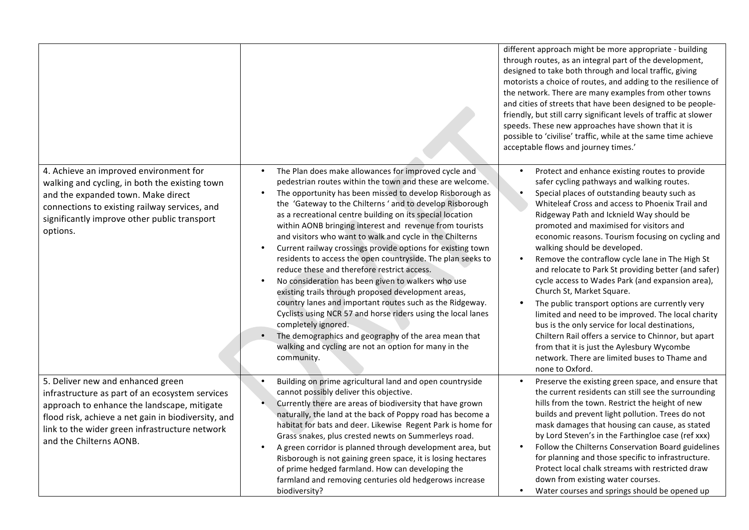|                                                                                                                                                                                                                                                                         |                                                                                                                                                                                                                                                                                                                                                                                                                                                                                                                                                                                                                                                                                                                                                                                                                                                                                                                                                                                                                                                              | different approach might be more appropriate - building<br>through routes, as an integral part of the development,<br>designed to take both through and local traffic, giving<br>motorists a choice of routes, and adding to the resilience of<br>the network. There are many examples from other towns<br>and cities of streets that have been designed to be people-<br>friendly, but still carry significant levels of traffic at slower<br>speeds. These new approaches have shown that it is<br>possible to 'civilise' traffic, while at the same time achieve<br>acceptable flows and journey times.'                                                                                                                                                                                                                                                                                                                                                       |
|-------------------------------------------------------------------------------------------------------------------------------------------------------------------------------------------------------------------------------------------------------------------------|--------------------------------------------------------------------------------------------------------------------------------------------------------------------------------------------------------------------------------------------------------------------------------------------------------------------------------------------------------------------------------------------------------------------------------------------------------------------------------------------------------------------------------------------------------------------------------------------------------------------------------------------------------------------------------------------------------------------------------------------------------------------------------------------------------------------------------------------------------------------------------------------------------------------------------------------------------------------------------------------------------------------------------------------------------------|-------------------------------------------------------------------------------------------------------------------------------------------------------------------------------------------------------------------------------------------------------------------------------------------------------------------------------------------------------------------------------------------------------------------------------------------------------------------------------------------------------------------------------------------------------------------------------------------------------------------------------------------------------------------------------------------------------------------------------------------------------------------------------------------------------------------------------------------------------------------------------------------------------------------------------------------------------------------|
| 4. Achieve an improved environment for<br>walking and cycling, in both the existing town<br>and the expanded town. Make direct<br>connections to existing railway services, and<br>significantly improve other public transport<br>options.                             | The Plan does make allowances for improved cycle and<br>$\bullet$<br>pedestrian routes within the town and these are welcome.<br>The opportunity has been missed to develop Risborough as<br>$\bullet$<br>the 'Gateway to the Chilterns' and to develop Risborough<br>as a recreational centre building on its special location<br>within AONB bringing interest and revenue from tourists<br>and visitors who want to walk and cycle in the Chilterns<br>Current railway crossings provide options for existing town<br>residents to access the open countryside. The plan seeks to<br>reduce these and therefore restrict access.<br>No consideration has been given to walkers who use<br>$\bullet$<br>existing trails through proposed development areas,<br>country lanes and important routes such as the Ridgeway.<br>Cyclists using NCR 57 and horse riders using the local lanes<br>completely ignored.<br>The demographics and geography of the area mean that<br>$\bullet$<br>walking and cycling are not an option for many in the<br>community. | Protect and enhance existing routes to provide<br>$\bullet$<br>safer cycling pathways and walking routes.<br>Special places of outstanding beauty such as<br>$\bullet$<br>Whiteleaf Cross and access to Phoenix Trail and<br>Ridgeway Path and Icknield Way should be<br>promoted and maximised for visitors and<br>economic reasons. Tourism focusing on cycling and<br>walking should be developed.<br>Remove the contraflow cycle lane in The High St<br>$\bullet$<br>and relocate to Park St providing better (and safer)<br>cycle access to Wades Park (and expansion area),<br>Church St, Market Square.<br>The public transport options are currently very<br>$\bullet$<br>limited and need to be improved. The local charity<br>bus is the only service for local destinations,<br>Chiltern Rail offers a service to Chinnor, but apart<br>from that it is just the Aylesbury Wycombe<br>network. There are limited buses to Thame and<br>none to Oxford. |
| 5. Deliver new and enhanced green<br>infrastructure as part of an ecosystem services<br>approach to enhance the landscape, mitigate<br>flood risk, achieve a net gain in biodiversity, and<br>link to the wider green infrastructure network<br>and the Chilterns AONB. | Building on prime agricultural land and open countryside<br>cannot possibly deliver this objective.<br>Currently there are areas of biodiversity that have grown<br>naturally, the land at the back of Poppy road has become a<br>habitat for bats and deer. Likewise Regent Park is home for<br>Grass snakes, plus crested newts on Summerleys road.<br>A green corridor is planned through development area, but<br>$\bullet$<br>Risborough is not gaining green space, it is losing hectares<br>of prime hedged farmland. How can developing the<br>farmland and removing centuries old hedgerows increase<br>biodiversity?                                                                                                                                                                                                                                                                                                                                                                                                                               | Preserve the existing green space, and ensure that<br>the current residents can still see the surrounding<br>hills from the town. Restrict the height of new<br>builds and prevent light pollution. Trees do not<br>mask damages that housing can cause, as stated<br>by Lord Steven's in the Farthingloe case (ref xxx)<br>Follow the Chilterns Conservation Board guidelines<br>$\bullet$<br>for planning and those specific to infrastructure.<br>Protect local chalk streams with restricted draw<br>down from existing water courses.<br>Water courses and springs should be opened up<br>$\bullet$                                                                                                                                                                                                                                                                                                                                                          |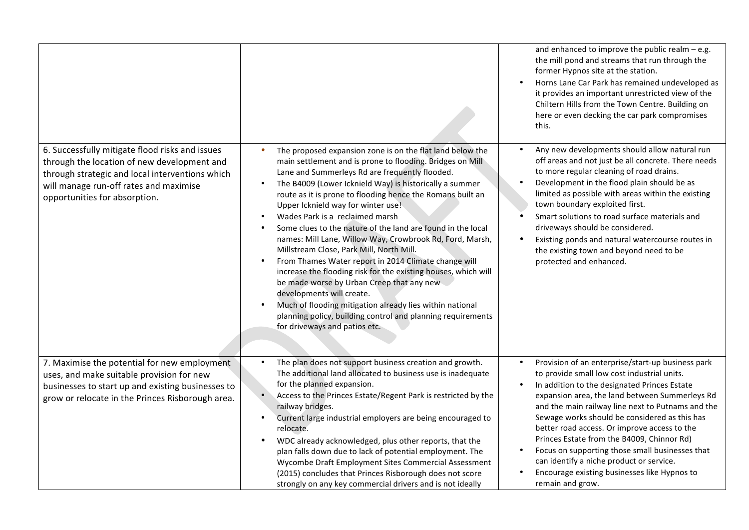|                                                                                                                                                                                                                              |                                                                                                                                                                                                                                                                                                                                                                                                                                                                                                                                                                                                                                                                                                                                                                                                                                                                                                                                                                       | and enhanced to improve the public realm $-$ e.g.<br>the mill pond and streams that run through the<br>former Hypnos site at the station.<br>Horns Lane Car Park has remained undeveloped as<br>$\bullet$<br>it provides an important unrestricted view of the<br>Chiltern Hills from the Town Centre. Building on<br>here or even decking the car park compromises<br>this.                                                                                                                                                                                                                                     |
|------------------------------------------------------------------------------------------------------------------------------------------------------------------------------------------------------------------------------|-----------------------------------------------------------------------------------------------------------------------------------------------------------------------------------------------------------------------------------------------------------------------------------------------------------------------------------------------------------------------------------------------------------------------------------------------------------------------------------------------------------------------------------------------------------------------------------------------------------------------------------------------------------------------------------------------------------------------------------------------------------------------------------------------------------------------------------------------------------------------------------------------------------------------------------------------------------------------|------------------------------------------------------------------------------------------------------------------------------------------------------------------------------------------------------------------------------------------------------------------------------------------------------------------------------------------------------------------------------------------------------------------------------------------------------------------------------------------------------------------------------------------------------------------------------------------------------------------|
| 6. Successfully mitigate flood risks and issues<br>through the location of new development and<br>through strategic and local interventions which<br>will manage run-off rates and maximise<br>opportunities for absorption. | The proposed expansion zone is on the flat land below the<br>$\bullet$<br>main settlement and is prone to flooding. Bridges on Mill<br>Lane and Summerleys Rd are frequently flooded.<br>The B4009 (Lower Icknield Way) is historically a summer<br>$\bullet$<br>route as it is prone to flooding hence the Romans built an<br>Upper Icknield way for winter use!<br>Wades Park is a reclaimed marsh<br>$\bullet$<br>Some clues to the nature of the land are found in the local<br>names: Mill Lane, Willow Way, Crowbrook Rd, Ford, Marsh,<br>Millstream Close, Park Mill, North Mill.<br>From Thames Water report in 2014 Climate change will<br>$\bullet$<br>increase the flooding risk for the existing houses, which will<br>be made worse by Urban Creep that any new<br>developments will create.<br>Much of flooding mitigation already lies within national<br>planning policy, building control and planning requirements<br>for driveways and patios etc. | Any new developments should allow natural run<br>$\bullet$<br>off areas and not just be all concrete. There needs<br>to more regular cleaning of road drains.<br>Development in the flood plain should be as<br>$\bullet$<br>limited as possible with areas within the existing<br>town boundary exploited first.<br>Smart solutions to road surface materials and<br>$\bullet$<br>driveways should be considered.<br>$\bullet$<br>Existing ponds and natural watercourse routes in<br>the existing town and beyond need to be<br>protected and enhanced.                                                        |
| 7. Maximise the potential for new employment<br>uses, and make suitable provision for new<br>businesses to start up and existing businesses to<br>grow or relocate in the Princes Risborough area.                           | The plan does not support business creation and growth.<br>$\bullet$<br>The additional land allocated to business use is inadequate<br>for the planned expansion.<br>Access to the Princes Estate/Regent Park is restricted by the<br>railway bridges.<br>Current large industrial employers are being encouraged to<br>$\bullet$<br>relocate.<br>WDC already acknowledged, plus other reports, that the<br>plan falls down due to lack of potential employment. The<br>Wycombe Draft Employment Sites Commercial Assessment<br>(2015) concludes that Princes Risborough does not score<br>strongly on any key commercial drivers and is not ideally                                                                                                                                                                                                                                                                                                                  | Provision of an enterprise/start-up business park<br>$\bullet$<br>to provide small low cost industrial units.<br>In addition to the designated Princes Estate<br>$\bullet$<br>expansion area, the land between Summerleys Rd<br>and the main railway line next to Putnams and the<br>Sewage works should be considered as this has<br>better road access. Or improve access to the<br>Princes Estate from the B4009, Chinnor Rd)<br>Focus on supporting those small businesses that<br>$\bullet$<br>can identify a niche product or service.<br>Encourage existing businesses like Hypnos to<br>remain and grow. |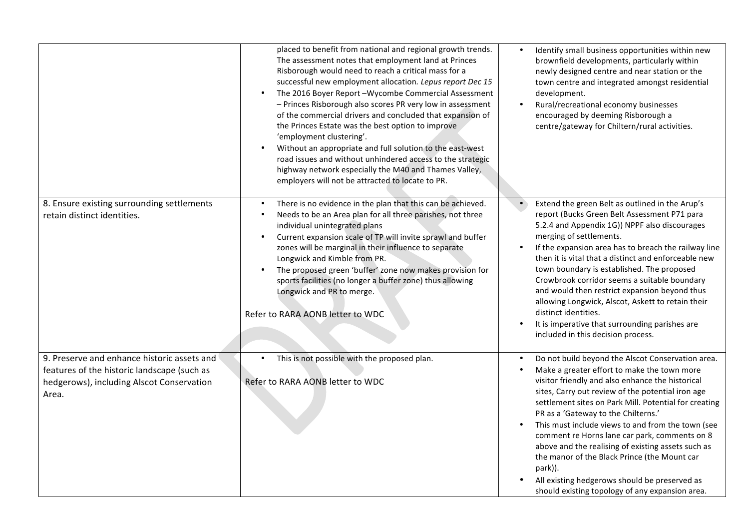|                                                                                                                                                  | placed to benefit from national and regional growth trends.<br>The assessment notes that employment land at Princes<br>Risborough would need to reach a critical mass for a<br>successful new employment allocation. Lepus report Dec 15<br>The 2016 Boyer Report-Wycombe Commercial Assessment<br>$\bullet$<br>- Princes Risborough also scores PR very low in assessment<br>of the commercial drivers and concluded that expansion of<br>the Princes Estate was the best option to improve<br>'employment clustering'.<br>Without an appropriate and full solution to the east-west<br>$\bullet$<br>road issues and without unhindered access to the strategic<br>highway network especially the M40 and Thames Valley,<br>employers will not be attracted to locate to PR. | $\bullet$<br>Identify small business opportunities within new<br>brownfield developments, particularly within<br>newly designed centre and near station or the<br>town centre and integrated amongst residential<br>development.<br>Rural/recreational economy businesses<br>$\bullet$<br>encouraged by deeming Risborough a<br>centre/gateway for Chiltern/rural activities.                                                                                                                                                                                                                                                                                  |
|--------------------------------------------------------------------------------------------------------------------------------------------------|-------------------------------------------------------------------------------------------------------------------------------------------------------------------------------------------------------------------------------------------------------------------------------------------------------------------------------------------------------------------------------------------------------------------------------------------------------------------------------------------------------------------------------------------------------------------------------------------------------------------------------------------------------------------------------------------------------------------------------------------------------------------------------|----------------------------------------------------------------------------------------------------------------------------------------------------------------------------------------------------------------------------------------------------------------------------------------------------------------------------------------------------------------------------------------------------------------------------------------------------------------------------------------------------------------------------------------------------------------------------------------------------------------------------------------------------------------|
| 8. Ensure existing surrounding settlements<br>retain distinct identities.                                                                        | There is no evidence in the plan that this can be achieved.<br>$\bullet$<br>Needs to be an Area plan for all three parishes, not three<br>individual unintegrated plans<br>Current expansion scale of TP will invite sprawl and buffer<br>$\bullet$<br>zones will be marginal in their influence to separate<br>Longwick and Kimble from PR.<br>The proposed green 'buffer' zone now makes provision for<br>$\bullet$<br>sports facilities (no longer a buffer zone) thus allowing<br>Longwick and PR to merge.<br>Refer to RARA AONB letter to WDC                                                                                                                                                                                                                           | $\bullet$<br>Extend the green Belt as outlined in the Arup's<br>report (Bucks Green Belt Assessment P71 para<br>5.2.4 and Appendix 1G)) NPPF also discourages<br>merging of settlements.<br>If the expansion area has to breach the railway line<br>$\bullet$<br>then it is vital that a distinct and enforceable new<br>town boundary is established. The proposed<br>Crowbrook corridor seems a suitable boundary<br>and would then restrict expansion beyond thus<br>allowing Longwick, Alscot, Askett to retain their<br>distinct identities.<br>It is imperative that surrounding parishes are<br>$\bullet$<br>included in this decision process.         |
| 9. Preserve and enhance historic assets and<br>features of the historic landscape (such as<br>hedgerows), including Alscot Conservation<br>Area. | This is not possible with the proposed plan.<br>$\bullet$<br>Refer to RARA AONB letter to WDC                                                                                                                                                                                                                                                                                                                                                                                                                                                                                                                                                                                                                                                                                 | Do not build beyond the Alscot Conservation area.<br>$\bullet$<br>Make a greater effort to make the town more<br>visitor friendly and also enhance the historical<br>sites, Carry out review of the potential iron age<br>settlement sites on Park Mill. Potential for creating<br>PR as a 'Gateway to the Chilterns.'<br>This must include views to and from the town (see<br>$\bullet$<br>comment re Horns lane car park, comments on 8<br>above and the realising of existing assets such as<br>the manor of the Black Prince (the Mount car<br>park)).<br>All existing hedgerows should be preserved as<br>should existing topology of any expansion area. |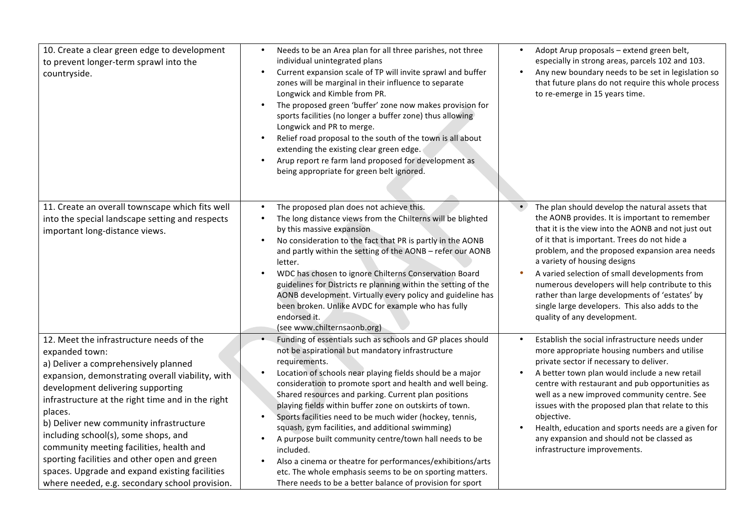| 10. Create a clear green edge to development<br>to prevent longer-term sprawl into the<br>countryside.                                                                                                                                                                                                                                                                                                                                                                                                                                         | Needs to be an Area plan for all three parishes, not three<br>$\bullet$<br>individual unintegrated plans<br>Current expansion scale of TP will invite sprawl and buffer<br>$\bullet$<br>zones will be marginal in their influence to separate<br>Longwick and Kimble from PR.<br>The proposed green 'buffer' zone now makes provision for<br>$\bullet$<br>sports facilities (no longer a buffer zone) thus allowing<br>Longwick and PR to merge.<br>Relief road proposal to the south of the town is all about<br>extending the existing clear green edge.<br>Arup report re farm land proposed for development as<br>$\bullet$<br>being appropriate for green belt ignored.                                                                                            | Adopt Arup proposals - extend green belt,<br>$\bullet$<br>especially in strong areas, parcels 102 and 103.<br>Any new boundary needs to be set in legislation so<br>$\bullet$<br>that future plans do not require this whole process<br>to re-emerge in 15 years time.                                                                                                                                                                                                                                                                              |
|------------------------------------------------------------------------------------------------------------------------------------------------------------------------------------------------------------------------------------------------------------------------------------------------------------------------------------------------------------------------------------------------------------------------------------------------------------------------------------------------------------------------------------------------|-------------------------------------------------------------------------------------------------------------------------------------------------------------------------------------------------------------------------------------------------------------------------------------------------------------------------------------------------------------------------------------------------------------------------------------------------------------------------------------------------------------------------------------------------------------------------------------------------------------------------------------------------------------------------------------------------------------------------------------------------------------------------|-----------------------------------------------------------------------------------------------------------------------------------------------------------------------------------------------------------------------------------------------------------------------------------------------------------------------------------------------------------------------------------------------------------------------------------------------------------------------------------------------------------------------------------------------------|
| 11. Create an overall townscape which fits well<br>into the special landscape setting and respects<br>important long-distance views.                                                                                                                                                                                                                                                                                                                                                                                                           | The proposed plan does not achieve this.<br>$\bullet$<br>The long distance views from the Chilterns will be blighted<br>$\bullet$<br>by this massive expansion<br>No consideration to the fact that PR is partly in the AONB<br>$\bullet$<br>and partly within the setting of the AONB - refer our AONB<br>letter.<br>WDC has chosen to ignore Chilterns Conservation Board<br>guidelines for Districts re planning within the setting of the<br>AONB development. Virtually every policy and guideline has<br>been broken. Unlike AVDC for example who has fully<br>endorsed it.<br>(see www.chilternsaonb.org)                                                                                                                                                        | $\bullet$<br>The plan should develop the natural assets that<br>the AONB provides. It is important to remember<br>that it is the view into the AONB and not just out<br>of it that is important. Trees do not hide a<br>problem, and the proposed expansion area needs<br>a variety of housing designs<br>A varied selection of small developments from<br>۰<br>numerous developers will help contribute to this<br>rather than large developments of 'estates' by<br>single large developers. This also adds to the<br>quality of any development. |
| 12. Meet the infrastructure needs of the<br>expanded town:<br>a) Deliver a comprehensively planned<br>expansion, demonstrating overall viability, with<br>development delivering supporting<br>infrastructure at the right time and in the right<br>places.<br>b) Deliver new community infrastructure<br>including school(s), some shops, and<br>community meeting facilities, health and<br>sporting facilities and other open and green<br>spaces. Upgrade and expand existing facilities<br>where needed, e.g. secondary school provision. | Funding of essentials such as schools and GP places should<br>not be aspirational but mandatory infrastructure<br>requirements.<br>Location of schools near playing fields should be a major<br>$\bullet$<br>consideration to promote sport and health and well being.<br>Shared resources and parking. Current plan positions<br>playing fields within buffer zone on outskirts of town.<br>Sports facilities need to be much wider (hockey, tennis,<br>squash, gym facilities, and additional swimming)<br>A purpose built community centre/town hall needs to be<br>included.<br>Also a cinema or theatre for performances/exhibitions/arts<br>etc. The whole emphasis seems to be on sporting matters.<br>There needs to be a better balance of provision for sport | Establish the social infrastructure needs under<br>$\bullet$<br>more appropriate housing numbers and utilise<br>private sector if necessary to deliver.<br>A better town plan would include a new retail<br>$\bullet$<br>centre with restaurant and pub opportunities as<br>well as a new improved community centre. See<br>issues with the proposed plan that relate to this<br>objective.<br>Health, education and sports needs are a given for<br>$\bullet$<br>any expansion and should not be classed as<br>infrastructure improvements.        |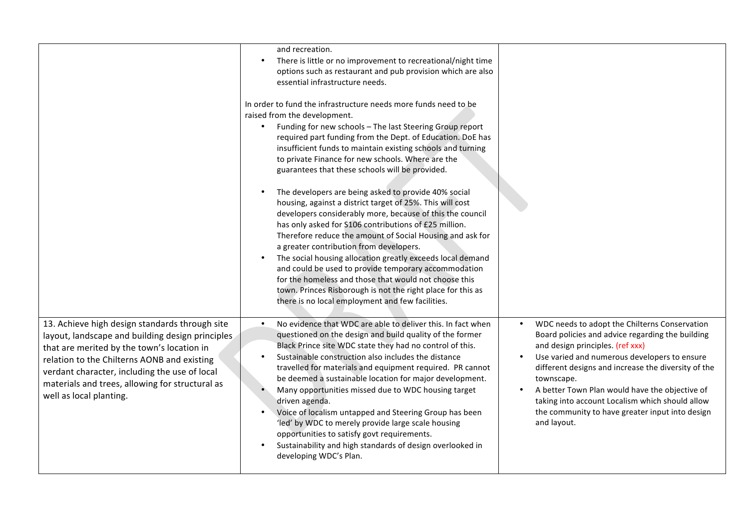|                                                                                                                                                                                                                                                                                                                                | and recreation.<br>There is little or no improvement to recreational/night time<br>$\bullet$<br>options such as restaurant and pub provision which are also<br>essential infrastructure needs.<br>In order to fund the infrastructure needs more funds need to be<br>raised from the development.<br>Funding for new schools - The last Steering Group report<br>$\bullet$<br>required part funding from the Dept. of Education. DoE has<br>insufficient funds to maintain existing schools and turning<br>to private Finance for new schools. Where are the<br>guarantees that these schools will be provided.<br>The developers are being asked to provide 40% social<br>$\bullet$<br>housing, against a district target of 25%. This will cost<br>developers considerably more, because of this the council<br>has only asked for S106 contributions of £25 million.<br>Therefore reduce the amount of Social Housing and ask for<br>a greater contribution from developers.<br>The social housing allocation greatly exceeds local demand<br>$\bullet$<br>and could be used to provide temporary accommodation<br>for the homeless and those that would not choose this<br>town. Princes Risborough is not the right place for this as<br>there is no local employment and few facilities. |                                                                                                                                                                                                                                                                                                                                                                                                                                                             |
|--------------------------------------------------------------------------------------------------------------------------------------------------------------------------------------------------------------------------------------------------------------------------------------------------------------------------------|------------------------------------------------------------------------------------------------------------------------------------------------------------------------------------------------------------------------------------------------------------------------------------------------------------------------------------------------------------------------------------------------------------------------------------------------------------------------------------------------------------------------------------------------------------------------------------------------------------------------------------------------------------------------------------------------------------------------------------------------------------------------------------------------------------------------------------------------------------------------------------------------------------------------------------------------------------------------------------------------------------------------------------------------------------------------------------------------------------------------------------------------------------------------------------------------------------------------------------------------------------------------------------------------|-------------------------------------------------------------------------------------------------------------------------------------------------------------------------------------------------------------------------------------------------------------------------------------------------------------------------------------------------------------------------------------------------------------------------------------------------------------|
| 13. Achieve high design standards through site<br>layout, landscape and building design principles<br>that are merited by the town's location in<br>relation to the Chilterns AONB and existing<br>verdant character, including the use of local<br>materials and trees, allowing for structural as<br>well as local planting. | No evidence that WDC are able to deliver this. In fact when<br>$\bullet$<br>questioned on the design and build quality of the former<br>Black Prince site WDC state they had no control of this.<br>Sustainable construction also includes the distance<br>$\bullet$<br>travelled for materials and equipment required. PR cannot<br>be deemed a sustainable location for major development.<br>Many opportunities missed due to WDC housing target<br>$\bullet$<br>driven agenda.<br>Voice of localism untapped and Steering Group has been<br>'led' by WDC to merely provide large scale housing<br>opportunities to satisfy govt requirements.<br>Sustainability and high standards of design overlooked in<br>developing WDC's Plan.                                                                                                                                                                                                                                                                                                                                                                                                                                                                                                                                                       | WDC needs to adopt the Chilterns Conservation<br>$\bullet$<br>Board policies and advice regarding the building<br>and design principles. (ref xxx)<br>Use varied and numerous developers to ensure<br>different designs and increase the diversity of the<br>townscape.<br>A better Town Plan would have the objective of<br>$\bullet$<br>taking into account Localism which should allow<br>the community to have greater input into design<br>and layout. |